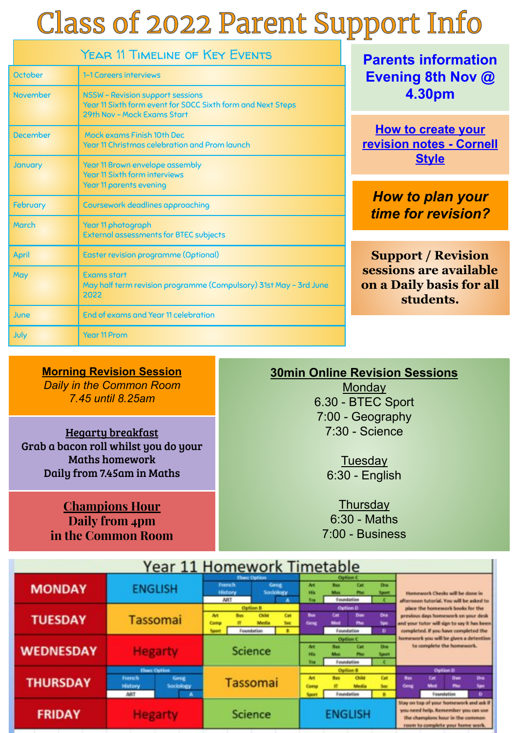# **Class of 2022 Parent Support Info**

| <b>YEAR 11 TIMELINE OF KEY EVENTS</b> |                                                                                                                                       |  |  |  |  |  |  |  |
|---------------------------------------|---------------------------------------------------------------------------------------------------------------------------------------|--|--|--|--|--|--|--|
| <b>October</b>                        | 1-1 Careers interviews                                                                                                                |  |  |  |  |  |  |  |
| <b>November</b>                       | <b>NSSW - Revision support sessions</b><br>Year 11 Sixth form event for SDCC Sixth form and Next Steps<br>29th Nov - Mock Exams Start |  |  |  |  |  |  |  |
| December                              | Mock exams Finish 10th Dec<br>Year 11 Christmas celebration and Prom launch                                                           |  |  |  |  |  |  |  |
| January                               | <b>Year 11 Brown envelope assembly</b><br><b>Year 11 Sixth form interviews</b><br><b>Year 11 parents evening</b>                      |  |  |  |  |  |  |  |
| <b>February</b>                       | Coursework deadlines approaching                                                                                                      |  |  |  |  |  |  |  |
| March                                 | Year 11 photograph<br><b>External assessments for BTEC subjects</b>                                                                   |  |  |  |  |  |  |  |
| April                                 | <b>Easter revision programme (Optional)</b>                                                                                           |  |  |  |  |  |  |  |
| May                                   | <b>Exams start</b><br>May half term revision programme (Compulsory) 31st May - 3rd June<br>2022                                       |  |  |  |  |  |  |  |
| June                                  | End of exams and Year 11 celebration                                                                                                  |  |  |  |  |  |  |  |
| July                                  | <b>Year 11 Prom</b>                                                                                                                   |  |  |  |  |  |  |  |

**Parents information Evening 8th Nov @ 4.30pm** 

**How to create your revision notes - Cornell Style**

*How to plan your time for revision?*

**Support / Revision sessions are available on a Daily basis for all students.**

п

**Morning Revision Session** *Daily in the Common Room 7.45 until 8.25am*

Hegarty breakfast Grab a bacon roll whilst you do your Maths homework Daily from 7.45am in Maths

> **Champions Hour Daily from 4pm in the Common Room**

### **30min Online Revision Sessions**

**Monday** 6.30 - BTEC Sport 7:00 - Geography 7:30 - Science

> **Tuesday** 6:30 - English

**Thursday** 6:30 - Maths 7:00 - Business

|                  | <b>TEGI</b>                                                                  |                    |                                        |                                        |                                               |              | <b>OTHEWOLK TIMEGRUIE</b>          |                                                                                                  |                                             |                                                                                                                                                                 |                                                                             |            |                                                     |                    |  |
|------------------|------------------------------------------------------------------------------|--------------------|----------------------------------------|----------------------------------------|-----------------------------------------------|--------------|------------------------------------|--------------------------------------------------------------------------------------------------|---------------------------------------------|-----------------------------------------------------------------------------------------------------------------------------------------------------------------|-----------------------------------------------------------------------------|------------|-----------------------------------------------------|--------------------|--|
| <b>MONDAY</b>    | <b>ENGLISH</b>                                                               |                    | French<br><b>History</b><br><b>ART</b> |                                        | <b>Ebacc Option</b><br>Geog<br>Sociology<br>٠ |              | M<br>ш<br>m                        | Option C<br>Draw <sub>1</sub><br>Cat<br><b>Date</b><br><b>Sport</b><br><b>CONT</b><br>Foundation |                                             |                                                                                                                                                                 | Homework Checks will be done in<br>afternoon tutorial. You will be asked to |            |                                                     |                    |  |
| <b>TUESDAY</b>   | <b>Tassomai</b>                                                              | <b>Art</b><br>Comp | <b>Bus</b>                             | Option B<br><b>Child</b><br>Foundation | Cat<br>Soc<br>٠                               | Bos.<br>Geng | Cat<br><b>Med</b>                  | Option D<br>Dan <sub>1</sub><br>Pho<br><b>Toundation</b>                                         | Ors.<br>Spo.                                | place the homework books for the<br>previous days homework on your desk<br>and your tutor will sign to say it has been.<br>completed. If you have completed the |                                                                             |            |                                                     |                    |  |
| <b>WEDNESDAY</b> | <b>Hegarty</b>                                                               |                    | <b>Science</b>                         |                                        |                                               |              | M<br><b>Hills</b><br>m             | --                                                                                               | Option C<br><b>Cat</b><br><b>Foundation</b> | <b>DIA</b><br><b>Marine</b>                                                                                                                                     | homework you will be given a detention<br>to complete the homework.         |            |                                                     |                    |  |
| <b>THURSDAY</b>  | <b>Ebacc Option</b><br><b>Feerich</b><br>Geog<br>Sociology<br>History<br>ART | А                  | <b>Tassomai</b>                        |                                        |                                               |              | <b>Art</b><br>Comu<br><b>Sport</b> | <b>Bus</b>                                                                                       | Option 8<br>Child<br>Equivalential          | Cat<br><b>Sac</b><br>٠                                                                                                                                          | <b>But</b><br>Goog                                                          | Cat<br>Med | <b>Outlon D</b><br><b>Date</b><br>The<br>Foundation | Dra.<br>Spo.<br>Ð. |  |
| <b>FRIDAY</b>    | <b>Hegarty</b>                                                               |                    | <b>Science</b>                         |                                        |                                               |              |                                    | <b>ENGLISH</b>                                                                                   |                                             | Stay on top of your homework and ask if<br>you need help. Remember you can use<br>the champions hour in the common<br>room to complete your home work.          |                                                                             |            |                                                     |                    |  |

Voor 11 Homework Timetable